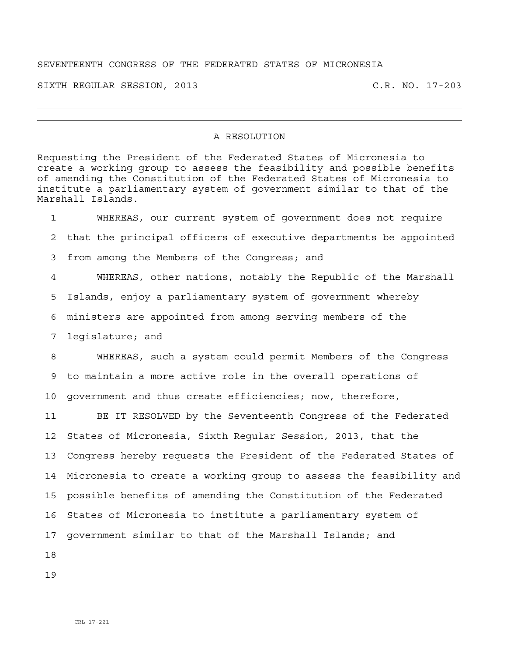## SEVENTEENTH CONGRESS OF THE FEDERATED STATES OF MICRONESIA

SIXTH REGULAR SESSION, 2013 C.R. NO. 17-203

## A RESOLUTION

Requesting the President of the Federated States of Micronesia to create a working group to assess the feasibility and possible benefits of amending the Constitution of the Federated States of Micronesia to institute a parliamentary system of government similar to that of the Marshall Islands.

1 WHEREAS, our current system of government does not require 2 that the principal officers of executive departments be appointed 3 from among the Members of the Congress; and 4 WHEREAS, other nations, notably the Republic of the Marshall 5 Islands, enjoy a parliamentary system of government whereby 6 ministers are appointed from among serving members of the 7 legislature; and 8 WHEREAS, such a system could permit Members of the Congress 9 to maintain a more active role in the overall operations of 10 government and thus create efficiencies; now, therefore, 11 BE IT RESOLVED by the Seventeenth Congress of the Federated 12 States of Micronesia, Sixth Regular Session, 2013, that the 13 Congress hereby requests the President of the Federated States of 14 Micronesia to create a working group to assess the feasibility and 15 possible benefits of amending the Constitution of the Federated 16 States of Micronesia to institute a parliamentary system of 17 government similar to that of the Marshall Islands; and

18

19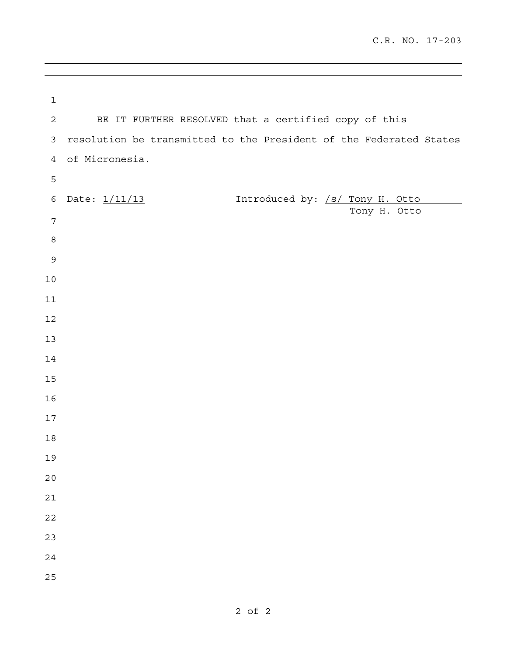| $\mathbf{1}$   |                                                                    |
|----------------|--------------------------------------------------------------------|
| 2              | BE IT FURTHER RESOLVED that a certified copy of this               |
| $\mathfrak{Z}$ | resolution be transmitted to the President of the Federated States |
| $\overline{4}$ | of Micronesia.                                                     |
| 5              |                                                                    |
| 6              | Introduced by: /s/ Tony H. Otto<br>Date: 1/11/13                   |
| 7              | Tony H. Otto                                                       |
| $\,8\,$        |                                                                    |
| $\mathsf 9$    |                                                                    |
| $10$           |                                                                    |
| 11             |                                                                    |
| 12             |                                                                    |
| 13             |                                                                    |
| 14             |                                                                    |
| 15             |                                                                    |
| 16             |                                                                    |
| $17$           |                                                                    |
| $18$           |                                                                    |
| 19             |                                                                    |
| 20             |                                                                    |
| 21             |                                                                    |
| 22             |                                                                    |
| 23             |                                                                    |
| 24             |                                                                    |
| 25             |                                                                    |